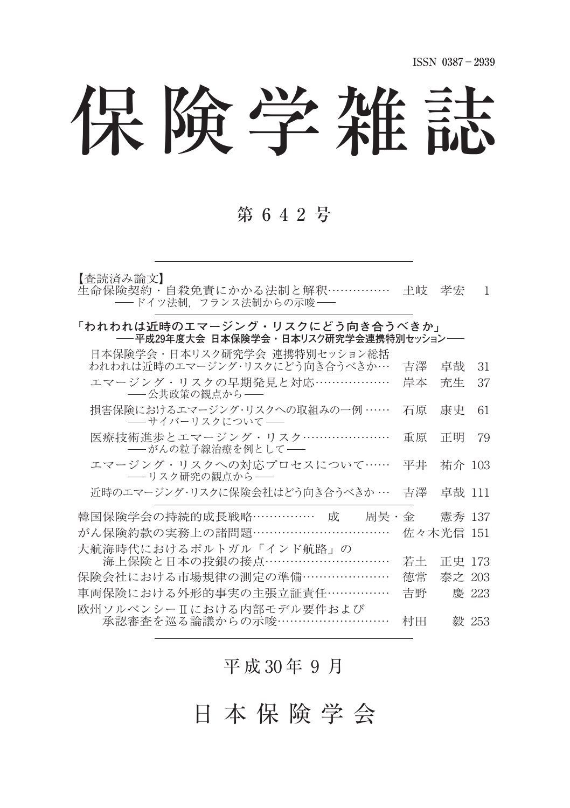# 保険学雑誌

# 第 6 4 2 号

【査読済み論文】

生命保険契約・自殺免責にかかる法制と解釈 ……………… 土岐 孝宏 1 - ドイツ法制,フランス法制からの示唆ー

#### 「われわれは近時のエマージング・リスクにどう向き合うべきか」 **平成29年度大会 日本保険学会・日本リスク研究学会連携特別セッション**

| 日本保険学会・日本リスク研究学会 連携特別セッション総括<br>われわれは近時のエマージング・リスクにどう向き合うべきか… | 吉澤        | 卓哉     | 31    |
|---------------------------------------------------------------|-----------|--------|-------|
| エマージング・リスクの早期発見と対応………………<br>-- 公共政策の観点から--                    | 岸本        | 充生     | 37    |
| 損害保険におけるエマージング・リスクへの取組みの一例 ……<br>――サイバーリスクについて――              | 石原        | 康史     | 61    |
| 医療技術進歩とエマージング・リスク…………………<br>――がんの粒子線治療を例として――                 | 重原        | 正明     | 79    |
| エマージング・リスクへの対応プロセスについて……<br>――リスク研究の観点から――                    | 平井        | 祐介 103 |       |
| 近時のエマージング・リスクに保険会社はどう向き合うべきか …                                | 吉澤        | 卓哉 111 |       |
| 韓国保険学会の持続的成長戦略……………… 成  周昊・金                                  |           | 憲秀 137 |       |
| がん保険約款の実務上の諸問題……………………………                                     | 佐々木光信 151 |        |       |
| 大航海時代におけるポルトガル「インド航路」の                                        |           |        |       |
| 海上保険と日本の投銀の接点 …………………………                                      | 若土        | 正史 173 |       |
| 保険会社における市場規律の測定の準備…………………                                     | 徳常        | 泰之 203 |       |
| 車両保険における外形的事実の主張立証責任……………                                     | 吉野        |        | 慶 223 |
| 欧州ソルベンシーIIにおける内部モデル要件および<br>承認審査を巡る論議からの示唆………………………           | 村田        |        | 毅 253 |

## 平成 30年 9月

日 本 保 険 学 会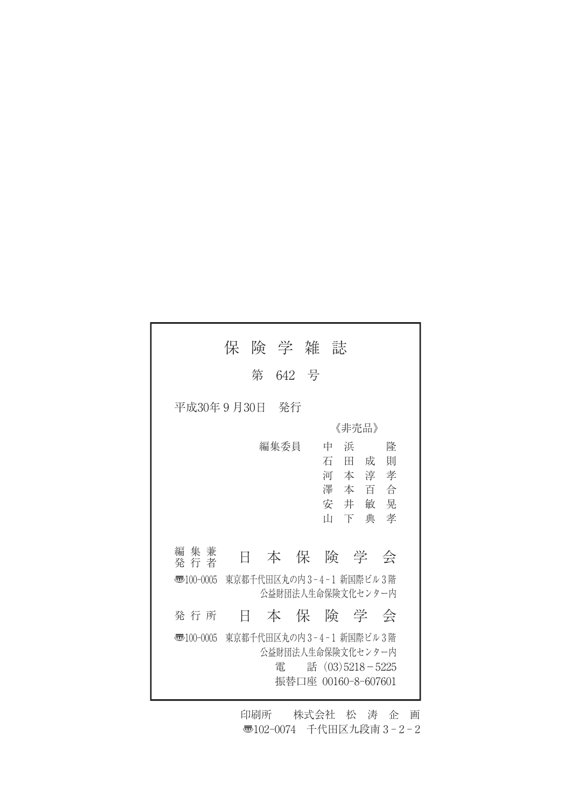|                        | 保 | 険 学 雑 誌                                           |                     |                 |       |              |   |
|------------------------|---|---------------------------------------------------|---------------------|-----------------|-------|--------------|---|
|                        |   | 第 642 号                                           |                     |                 |       |              |   |
| 平成30年 9 月30日           |   | - 発行                                              |                     |                 |       |              |   |
|                        |   |                                                   |                     |                 | 《非壳品》 |              |   |
|                        |   | 編集委員                                              |                     | 中               | 浜     |              | 降 |
|                        |   |                                                   |                     | 石田成             |       |              | 則 |
|                        |   |                                                   |                     |                 |       | 河本淳孝         |   |
|                        |   |                                                   |                     |                 |       | 澤本百合<br>安井敏晃 |   |
|                        |   |                                                   |                     | īН              | 下典    |              | 孝 |
|                        |   |                                                   |                     |                 |       |              |   |
| 集 兼<br>編<br>発 行 者      | Ħ | 本保険学会                                             |                     |                 |       |              |   |
| $\overline{3}100-0005$ |   | 東京都千代田区丸の内3-4-1 新国際ビル3階<br>公益財団法人生命保険文化センター内      |                     |                 |       |              |   |
| 発 行 所                  | Ħ | 本保険学会                                             |                     |                 |       |              |   |
| 壺100-0005              |   | 東京都千代田区丸の内3-4-1 新国際ビル3階<br>公益財団法人生命保険文化センター内<br>雷 | 振替口座 00160-8-607601 | 話 (03)5218-5225 |       |              |   |

印刷所 株式会社 松 涛 企 画 〠102-0074 千代田区九段南 3 - 2 - 2